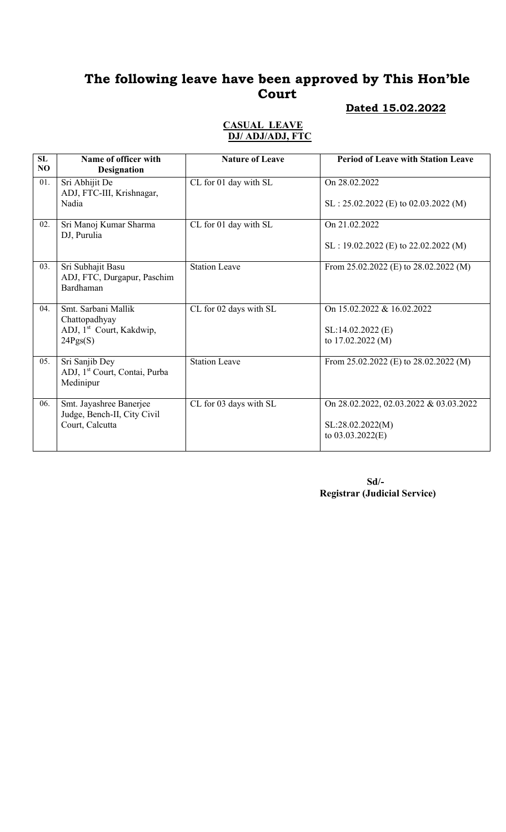#### Dated 15.02.2022

#### CASUAL LEAVE DJ/ ADJ/ADJ, FTC

| SL<br>N <sub>O</sub> | Name of officer with<br><b>Designation</b>                                               | <b>Nature of Leave</b> | <b>Period of Leave with Station Leave</b>                                        |
|----------------------|------------------------------------------------------------------------------------------|------------------------|----------------------------------------------------------------------------------|
| 01.                  | Sri Abhijit De<br>ADJ, FTC-III, Krishnagar,<br>Nadia                                     | CL for 01 day with SL  | On 28.02.2022<br>$SL: 25.02.2022$ (E) to 02.03.2022 (M)                          |
| 02.                  | Sri Manoj Kumar Sharma<br>DJ, Purulia                                                    | CL for 01 day with SL  | On 21.02.2022<br>$SL: 19.02.2022$ (E) to 22.02.2022 (M)                          |
| 03.                  | Sri Subhajit Basu<br>ADJ, FTC, Durgapur, Paschim<br>Bardhaman                            | <b>Station Leave</b>   | From 25.02.2022 (E) to 28.02.2022 (M)                                            |
| 04.                  | Smt. Sarbani Mallik<br>Chattopadhyay<br>ADJ, 1 <sup>st</sup> Court, Kakdwip,<br>24Pgs(S) | CL for 02 days with SL | On 15.02.2022 & 16.02.2022<br>SL:14.02.2022 (E)<br>to 17.02.2022 (M)             |
| 05.                  | Sri Sanjib Dey<br>ADJ, 1 <sup>st</sup> Court, Contai, Purba<br>Medinipur                 | <b>Station Leave</b>   | From 25.02.2022 (E) to 28.02.2022 (M)                                            |
| 06.                  | Smt. Jayashree Banerjee<br>Judge, Bench-II, City Civil<br>Court, Calcutta                | CL for 03 days with SL | On 28.02.2022, 02.03.2022 & 03.03.2022<br>SL:28.02.2022(M)<br>to $03.03.2022(E)$ |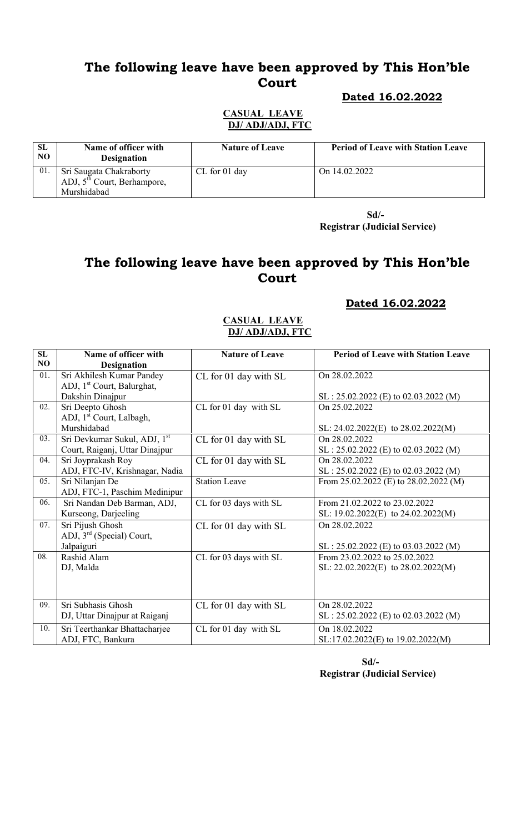#### Dated 16.02.2022

#### CASUAL LEAVE DJ/ ADJ/ADJ, FTC

| <b>SL</b><br>NO. | Name of officer with<br><b>Designation</b>                              | <b>Nature of Leave</b> | <b>Period of Leave with Station Leave</b> |
|------------------|-------------------------------------------------------------------------|------------------------|-------------------------------------------|
| 01.              | Sri Saugata Chakraborty<br>ADJ, $5th$ Court, Berhampore,<br>Murshidabad | $CL$ for 01 day        | On $14.02.2022$                           |

 Sd/- Registrar (Judicial Service)

# The following leave have been approved by This Hon'ble Court

#### Dated 16.02.2022

#### CASUAL LEAVE DJ/ ADJ/ADJ, FTC

| SL             | Name of officer with                     | <b>Nature of Leave</b> | <b>Period of Leave with Station Leave</b> |
|----------------|------------------------------------------|------------------------|-------------------------------------------|
| N <sub>O</sub> | <b>Designation</b>                       |                        |                                           |
| 01.            | Sri Akhilesh Kumar Pandey                | CL for 01 day with SL  | On 28.02.2022                             |
|                | ADJ, 1 <sup>st</sup> Court, Balurghat,   |                        |                                           |
|                | Dakshin Dinajpur                         |                        | SL: 25.02.2022 (E) to 02.03.2022 (M)      |
| 02.            | Sri Deepto Ghosh                         | CL for 01 day with SL  | On 25.02.2022                             |
|                | ADJ, 1 <sup>st</sup> Court, Lalbagh,     |                        |                                           |
|                | Murshidabad                              |                        | SL: $24.02.2022(E)$ to $28.02.2022(M)$    |
| 03.            | Sri Devkumar Sukul, ADJ, 1 <sup>st</sup> | CL for 01 day with SL  | On 28.02.2022                             |
|                | Court, Raiganj, Uttar Dinajpur           |                        | $SL: 25.02.2022$ (E) to 02.03.2022 (M)    |
| 04.            | Sri Joyprakash Roy                       | CL for 01 day with SL  | On 28.02.2022                             |
|                | ADJ, FTC-IV, Krishnagar, Nadia           |                        | $SL: 25.02.2022$ (E) to 02.03.2022 (M)    |
| 05.            | Sri Nilanjan De                          | <b>Station Leave</b>   | From 25.02.2022 (E) to 28.02.2022 (M)     |
|                | ADJ, FTC-1, Paschim Medinipur            |                        |                                           |
| 06.            | Sri Nandan Deb Barman, ADJ,              | CL for 03 days with SL | From 21.02.2022 to 23.02.2022             |
|                | Kurseong, Darjeeling                     |                        | SL: $19.02.2022(E)$ to $24.02.2022(M)$    |
| 07.            | Sri Pijush Ghosh                         | CL for 01 day with SL  | On 28.02.2022                             |
|                | ADJ, 3 <sup>rd</sup> (Special) Court,    |                        |                                           |
|                | Jalpaiguri                               |                        | SL: 25.02.2022 (E) to 03.03.2022 (M)      |
| 08.            | Rashid Alam                              | CL for 03 days with SL | From 23.02.2022 to 25.02.2022             |
|                | DJ, Malda                                |                        | SL: $22.02.2022(E)$ to $28.02.2022(M)$    |
|                |                                          |                        |                                           |
|                |                                          |                        |                                           |
| 09.            | Sri Subhasis Ghosh                       | CL for 01 day with SL  | On 28,02,2022                             |
|                | DJ, Uttar Dinajpur at Raiganj            |                        | $SL: 25.02.2022$ (E) to 02.03.2022 (M)    |
| 10.            | Sri Teerthankar Bhattacharjee            | CL for 01 day with SL  | On 18.02.2022                             |
|                | ADJ, FTC, Bankura                        |                        | SL:17.02.2022(E) to 19.02.2022(M)         |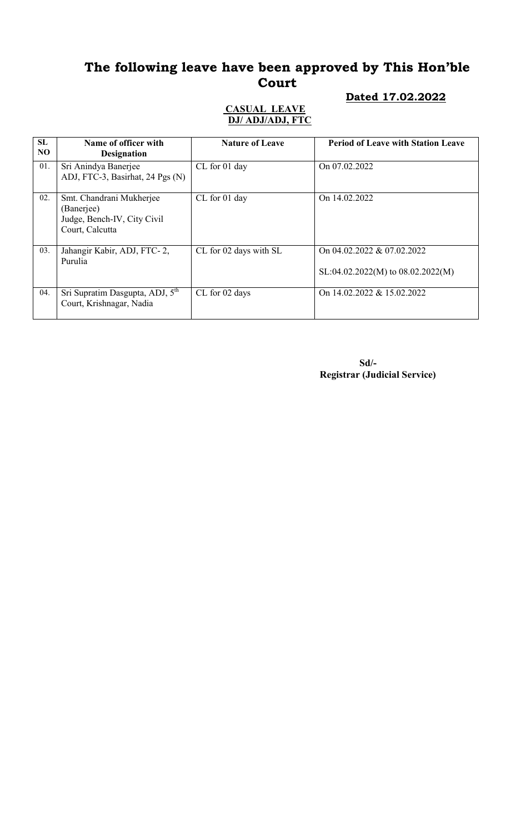### Dated 17.02.2022

#### CASUAL LEAVE DJ/ ADJ/ADJ, FTC

| SL<br>NO. | Name of officer with<br><b>Designation</b>                                               | <b>Nature of Leave</b> | <b>Period of Leave with Station Leave</b>                           |
|-----------|------------------------------------------------------------------------------------------|------------------------|---------------------------------------------------------------------|
| 01.       | Sri Anindya Banerjee<br>ADJ, FTC-3, Basirhat, 24 Pgs (N)                                 | CL for 01 day          | On 07.02.2022                                                       |
| 02.       | Smt. Chandrani Mukherjee<br>(Banerjee)<br>Judge, Bench-IV, City Civil<br>Court, Calcutta | CL for 01 day          | On 14.02.2022                                                       |
| 03.       | Jahangir Kabir, ADJ, FTC-2,<br>Purulia                                                   | CL for 02 days with SL | On 04.02.2022 & 07.02.2022<br>$SL:04.02.2022(M)$ to $08.02.2022(M)$ |
| 04.       | Sri Supratim Dasgupta, ADJ, 5 <sup>th</sup><br>Court, Krishnagar, Nadia                  | CL for 02 days         | On 14.02.2022 & 15.02.2022                                          |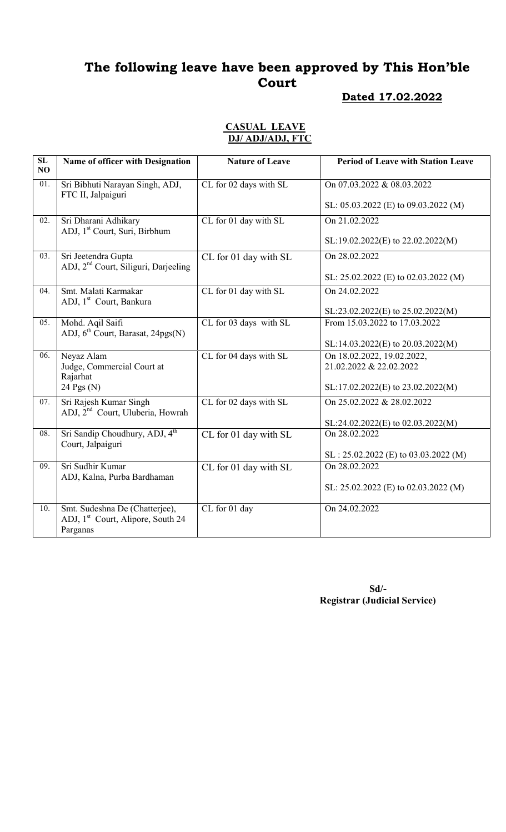### Dated 17.02.2022

#### CASUAL LEAVE DJ/ ADJ/ADJ, FTC

| SL<br>N <sub>O</sub> | Name of officer with Designation                                                            | <b>Nature of Leave</b> | <b>Period of Leave with Station Leave</b>             |
|----------------------|---------------------------------------------------------------------------------------------|------------------------|-------------------------------------------------------|
| 01.                  | Sri Bibhuti Narayan Singh, ADJ,<br>FTC II, Jalpaiguri                                       | CL for 02 days with SL | On 07.03.2022 & 08.03.2022                            |
|                      |                                                                                             |                        | SL: 05.03.2022 (E) to 09.03.2022 (M)                  |
| 02.                  | Sri Dharani Adhikary<br>ADJ, 1 <sup>st</sup> Court, Suri, Birbhum                           | CL for 01 day with SL  | On 21.02.2022                                         |
|                      |                                                                                             |                        | $SL:19.02.2022(E)$ to $22.02.2022(M)$                 |
| 03.                  | Sri Jeetendra Gupta<br>ADJ, 2 <sup>nd</sup> Court, Siliguri, Darjeeling                     | CL for 01 day with SL  | On 28.02.2022                                         |
|                      |                                                                                             |                        | SL: 25.02.2022 (E) to 02.03.2022 (M)                  |
| 04.                  | Smt. Malati Karmakar<br>ADJ, 1 <sup>st</sup> Court, Bankura                                 | CL for 01 day with SL  | On 24.02.2022                                         |
|                      |                                                                                             |                        | $SL:23.02.2022(E)$ to $25.02.2022(M)$                 |
| 05.                  | Mohd. Aqil Saifi<br>ADJ, 6 <sup>th</sup> Court, Barasat, 24pgs(N)                           | CL for 03 days with SL | From 15.03.2022 to 17.03.2022                         |
|                      |                                                                                             |                        | SL:14.03.2022(E) to 20.03.2022(M)                     |
| 06.                  | Neyaz Alam<br>Judge, Commercial Court at<br>Rajarhat                                        | CL for 04 days with SL | On 18.02.2022, 19.02.2022,<br>21.02.2022 & 22.02.2022 |
|                      | 24 Pgs (N)                                                                                  |                        | SL:17.02.2022(E) to 23.02.2022(M)                     |
| 07.                  | Sri Rajesh Kumar Singh<br>ADJ, 2 <sup>nd</sup> Court, Uluberia, Howrah                      | CL for 02 days with SL | On 25.02.2022 & 28.02.2022                            |
|                      |                                                                                             |                        | SL:24.02.2022(E) to 02.03.2022(M)                     |
| 08.                  | Sri Sandip Choudhury, ADJ, 4 <sup>th</sup><br>Court, Jalpaiguri                             | CL for 01 day with SL  | On 28.02.2022                                         |
|                      |                                                                                             |                        | $SL: 25.02.2022$ (E) to 03.03.2022 (M)                |
| 09.                  | Sri Sudhir Kumar<br>ADJ, Kalna, Purba Bardhaman                                             | CL for 01 day with SL  | On 28.02.2022                                         |
|                      |                                                                                             |                        | SL: $25.02.2022$ (E) to $02.03.2022$ (M)              |
| 10.                  | Smt. Sudeshna De (Chatterjee),<br>ADJ, 1 <sup>st</sup> Court, Alipore, South 24<br>Parganas | CL for 01 day          | On 24.02.2022                                         |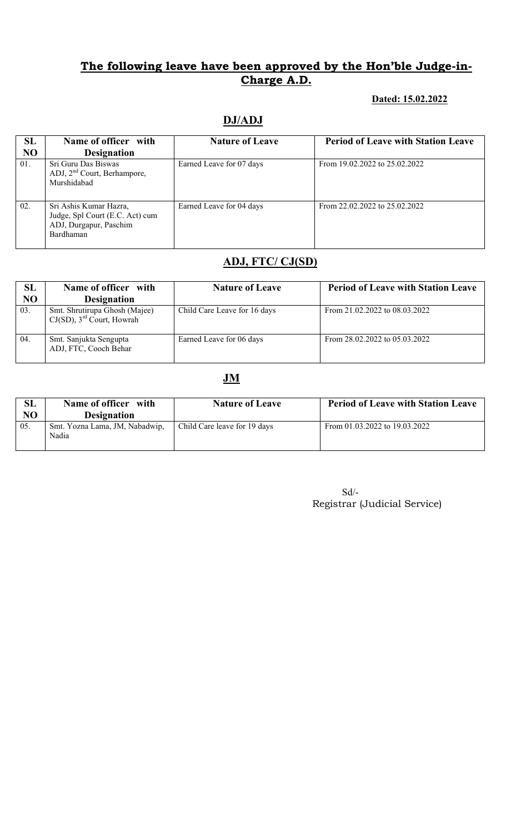#### Dated: 15.02.2022

### DJ/ADJ

| SL<br>N <sub>O</sub> | Name of officer with<br><b>Designation</b>                                                       | <b>Nature of Leave</b>   | <b>Period of Leave with Station Leave</b> |
|----------------------|--------------------------------------------------------------------------------------------------|--------------------------|-------------------------------------------|
| 01.                  | Sri Guru Das Biswas<br>ADJ, $2nd$ Court, Berhampore,<br>Murshidabad                              | Earned Leave for 07 days | From 19.02.2022 to 25.02.2022             |
| 02.                  | Sri Ashis Kumar Hazra,<br>Judge, Spl Court (E.C. Act) cum<br>ADJ, Durgapur, Paschim<br>Bardhaman | Earned Leave for 04 days | From 22.02.2022 to 25.02.2022             |

### ADJ, FTC/ CJ(SD)

| SL<br>NO | Name of officer with<br><b>Designation</b>                                | <b>Nature of Leave</b>       | <b>Period of Leave with Station Leave</b> |
|----------|---------------------------------------------------------------------------|------------------------------|-------------------------------------------|
| 03.      | Smt. Shrutirupa Ghosh (Majee)<br>$CJ(SD)$ , 3 <sup>rd</sup> Court, Howrah | Child Care Leave for 16 days | From 21.02.2022 to 08.03.2022             |
| 04.      | Smt. Sanjukta Sengupta<br>ADJ, FTC, Cooch Behar                           | Earned Leave for 06 days     | From 28.02.2022 to 05.03.2022             |

### JM

| SL<br>NO | Name of officer with<br><b>Designation</b> | <b>Nature of Leave</b>       | <b>Period of Leave with Station Leave</b> |
|----------|--------------------------------------------|------------------------------|-------------------------------------------|
| 05.      | Smt. Yozna Lama, JM, Nabadwip,<br>Nadia    | Child Care leave for 19 days | From 01.03.2022 to 19.03.2022             |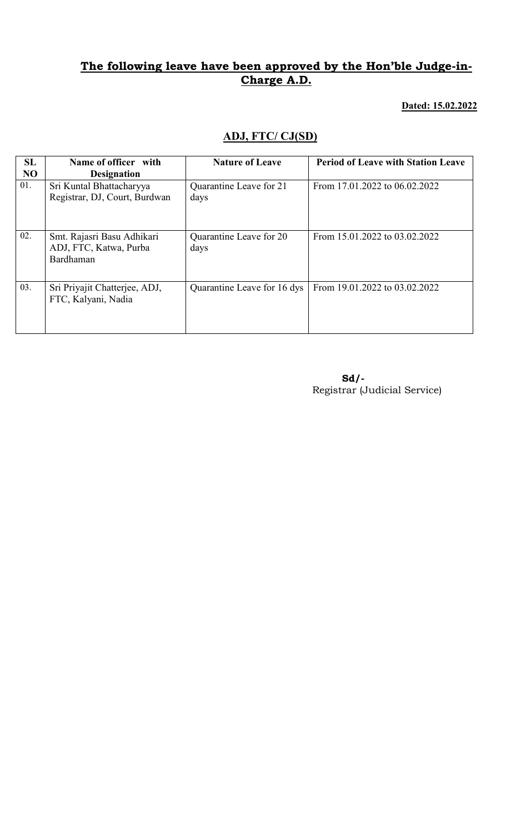Dated: 15.02.2022

### ADJ, FTC/ CJ(SD)

| SL<br>N <sub>O</sub> | Name of officer with<br><b>Designation</b>                        | <b>Nature of Leave</b>          | <b>Period of Leave with Station Leave</b> |
|----------------------|-------------------------------------------------------------------|---------------------------------|-------------------------------------------|
| 01.                  | Sri Kuntal Bhattacharyya<br>Registrar, DJ, Court, Burdwan         | Quarantine Leave for 21<br>days | From 17.01.2022 to 06.02.2022             |
| 02.                  | Smt. Rajasri Basu Adhikari<br>ADJ, FTC, Katwa, Purba<br>Bardhaman | Quarantine Leave for 20<br>days | From 15.01.2022 to 03.02.2022             |
| 03.                  | Sri Priyajit Chatterjee, ADJ,<br>FTC, Kalyani, Nadia              | Quarantine Leave for 16 dys     | From 19.01.2022 to 03.02.2022             |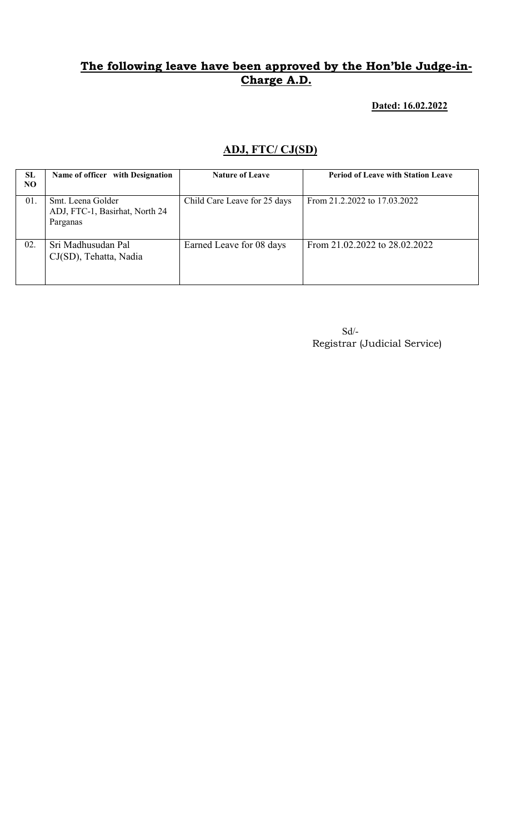#### Dated: 16.02.2022

### ADJ, FTC/ CJ(SD)

| SL<br>NO. | Name of officer with Designation                                | <b>Nature of Leave</b>       | <b>Period of Leave with Station Leave</b> |
|-----------|-----------------------------------------------------------------|------------------------------|-------------------------------------------|
| 01.       | Smt. Leena Golder<br>ADJ, FTC-1, Basirhat, North 24<br>Parganas | Child Care Leave for 25 days | From 21.2.2022 to 17.03.2022              |
| 02.       | Sri Madhusudan Pal<br>CJ(SD), Tehatta, Nadia                    | Earned Leave for 08 days     | From 21.02.2022 to 28.02.2022             |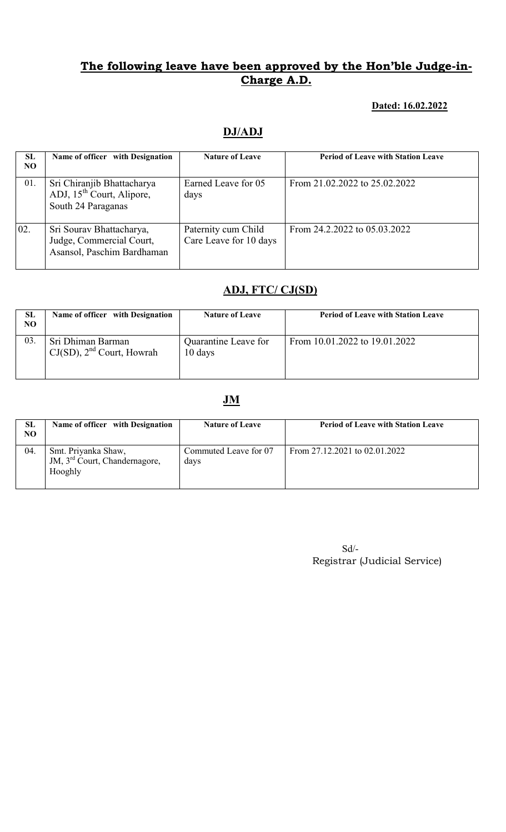#### Dated: 16.02.2022

### DJ/ADJ

| <b>SL</b><br>NO. | Name of officer with Designation                                                          | <b>Nature of Leave</b>                        | <b>Period of Leave with Station Leave</b> |
|------------------|-------------------------------------------------------------------------------------------|-----------------------------------------------|-------------------------------------------|
| 01.              | Sri Chiranjib Bhattacharya<br>ADJ, 15 <sup>th</sup> Court, Alipore,<br>South 24 Paraganas | Earned Leave for 05<br>days                   | From 21.02.2022 to 25.02.2022             |
| 02.              | Sri Sourav Bhattacharya,<br>Judge, Commercial Court,<br>Asansol, Paschim Bardhaman        | Paternity cum Child<br>Care Leave for 10 days | From 24.2.2022 to 05.03.2022              |

#### ADJ, FTC/ CJ(SD)

| <b>SL</b><br>NO | Name of officer with Designation                    | <b>Nature of Leave</b>          | <b>Period of Leave with Station Leave</b> |
|-----------------|-----------------------------------------------------|---------------------------------|-------------------------------------------|
| 03.             | Sri Dhiman Barman<br>$CJ(SD)$ , $2nd$ Court, Howrah | Quarantine Leave for<br>10 days | From 10.01.2022 to 19.01.2022             |

#### **JM**

| <b>SL</b><br>NO | Name of officer with Designation                                            | <b>Nature of Leave</b>        | <b>Period of Leave with Station Leave</b> |
|-----------------|-----------------------------------------------------------------------------|-------------------------------|-------------------------------------------|
| 04.             | Smt. Priyanka Shaw,<br>JM, 3 <sup>rd</sup> Court, Chandernagore,<br>Hooghly | Commuted Leave for 07<br>days | From $27.12.2021$ to $02.01.2022$         |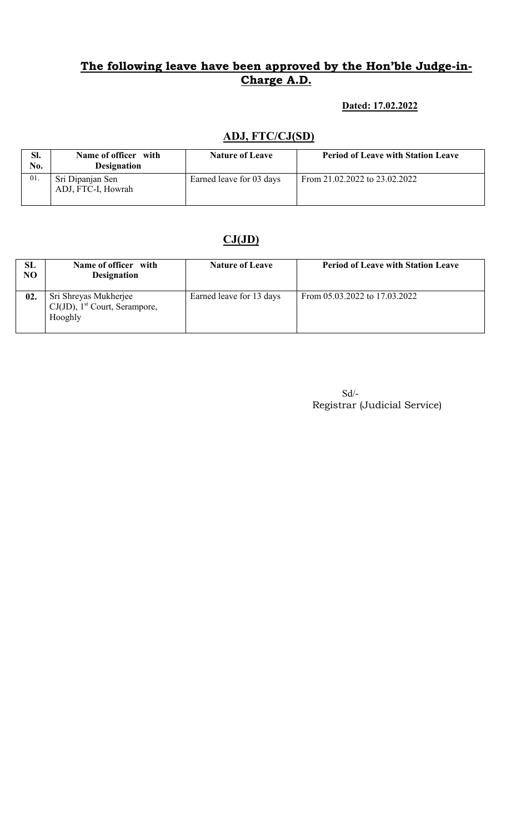#### Dated: 17.02.2022

### ADJ, FTC/CJ(SD)

| Sl.<br>No. | Name of officer with<br><b>Designation</b> | <b>Nature of Leave</b>   | <b>Period of Leave with Station Leave</b> |
|------------|--------------------------------------------|--------------------------|-------------------------------------------|
| 01.        | Sri Dipanjan Sen<br>ADJ, FTC-I, Howrah     | Earned leave for 03 days | From 21.02.2022 to 23.02.2022             |

# $CJ(JD)$

| SL<br>NO | Name of officer with<br><b>Designation</b>                                       | <b>Nature of Leave</b>   | <b>Period of Leave with Station Leave</b> |
|----------|----------------------------------------------------------------------------------|--------------------------|-------------------------------------------|
| 02.      | Sri Shreyas Mukherjee<br>$CJ(JD)$ , 1 <sup>st</sup> Court, Serampore,<br>Hooghly | Earned leave for 13 days | From 05.03.2022 to 17.03.2022             |